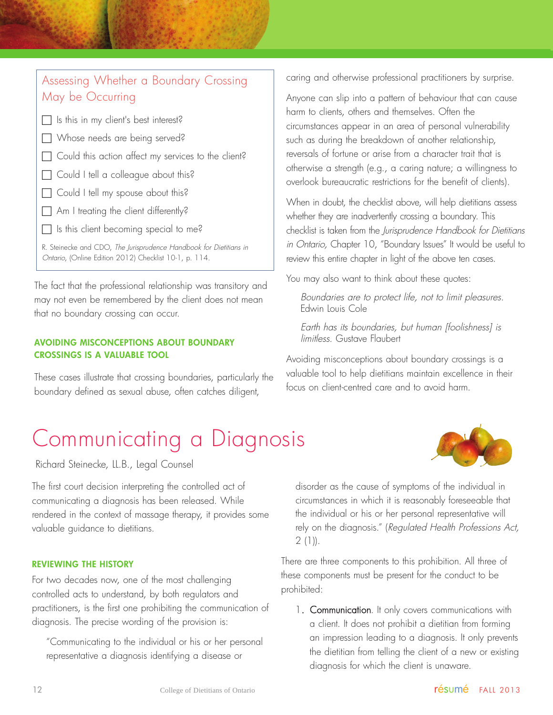# Communicating a Diagnosis

Richard Steinecke, LL.B., Legal Counsel

The first court decision interpreting the controlled act of communicating a diagnosis has been released. While rendered in the context of massage therapy, it provides some valuable guidance to dietitians.

### REVIEWING THE HISTORY

For two decades now, one of the most challenging controlled acts to understand, by both regulators and practitioners, is the first one prohibiting the communication of diagnosis. The precise wording of the provision is:

"Communicating to the individual or his or her personal representative a diagnosis identifying a disease or

disorder as the cause of symptoms of the individual in circumstances in which it is reasonably foreseeable that the individual or his or her personal representative will rely on the diagnosis." (Regulated Health Professions Act,  $2(1)$ .

There are three components to this prohibition. All three of these components must be present for the conduct to be prohibited:

1. **Communication**. It only covers communications with a client. It does not prohibit a dietitian from forming an impression leading to a diagnosis. It only prevents the dietitian from telling the client of a new or existing diagnosis for which the client is unaware.